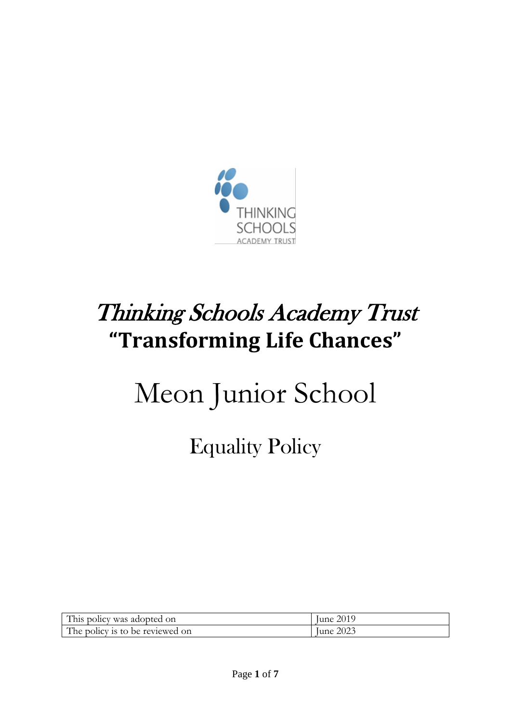

# Thinking Schools Academy Trust **"Transforming Life Chances"**

# Meon Junior School

# Equality Policy

| This policy was adopted on      | June 2019        |
|---------------------------------|------------------|
| The policy is to be reviewed on | <b>Iune 2023</b> |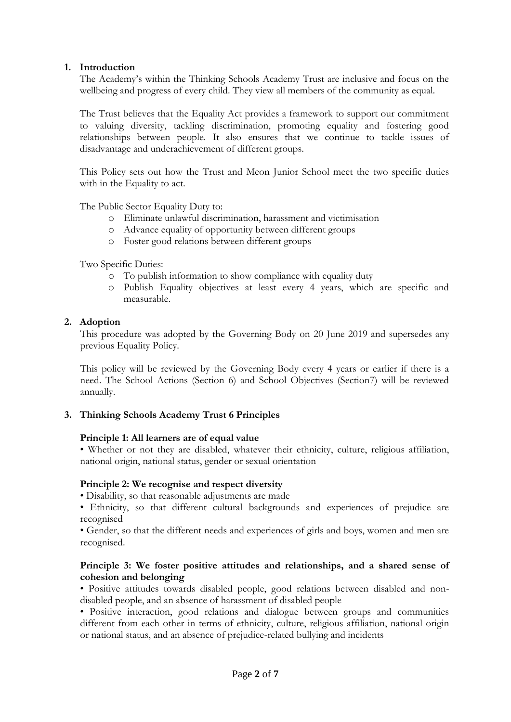# **1. Introduction**

The Academy's within the Thinking Schools Academy Trust are inclusive and focus on the wellbeing and progress of every child. They view all members of the community as equal.

The Trust believes that the Equality Act provides a framework to support our commitment to valuing diversity, tackling discrimination, promoting equality and fostering good relationships between people. It also ensures that we continue to tackle issues of disadvantage and underachievement of different groups.

This Policy sets out how the Trust and Meon Junior School meet the two specific duties with in the Equality to act.

The Public Sector Equality Duty to:

- o Eliminate unlawful discrimination, harassment and victimisation
- o Advance equality of opportunity between different groups
- o Foster good relations between different groups

Two Specific Duties:

- o To publish information to show compliance with equality duty
- o Publish Equality objectives at least every 4 years, which are specific and measurable.

# **2. Adoption**

This procedure was adopted by the Governing Body on 20 June 2019 and supersedes any previous Equality Policy.

This policy will be reviewed by the Governing Body every 4 years or earlier if there is a need. The School Actions (Section 6) and School Objectives (Section7) will be reviewed annually.

# **3. Thinking Schools Academy Trust 6 Principles**

# **Principle 1: All learners are of equal value**

• Whether or not they are disabled, whatever their ethnicity, culture, religious affiliation, national origin, national status, gender or sexual orientation

# **Principle 2: We recognise and respect diversity**

• Disability, so that reasonable adjustments are made

• Ethnicity, so that different cultural backgrounds and experiences of prejudice are recognised

• Gender, so that the different needs and experiences of girls and boys, women and men are recognised.

# **Principle 3: We foster positive attitudes and relationships, and a shared sense of cohesion and belonging**

• Positive attitudes towards disabled people, good relations between disabled and nondisabled people, and an absence of harassment of disabled people

• Positive interaction, good relations and dialogue between groups and communities different from each other in terms of ethnicity, culture, religious affiliation, national origin or national status, and an absence of prejudice-related bullying and incidents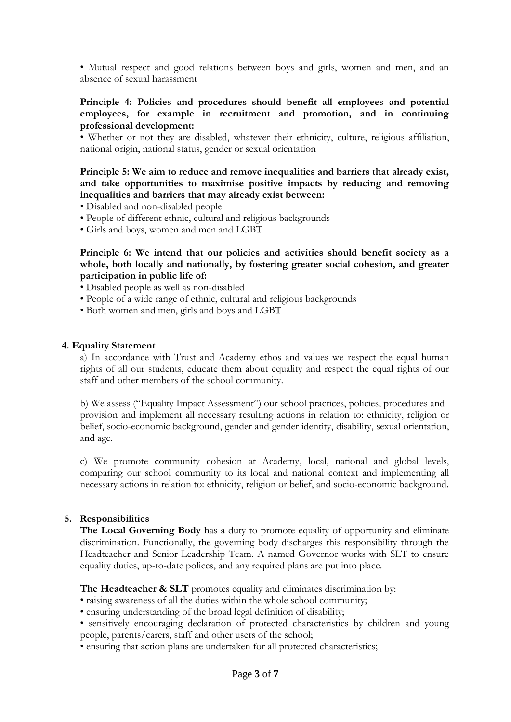• Mutual respect and good relations between boys and girls, women and men, and an absence of sexual harassment

# **Principle 4: Policies and procedures should benefit all employees and potential employees, for example in recruitment and promotion, and in continuing professional development:**

• Whether or not they are disabled, whatever their ethnicity, culture, religious affiliation, national origin, national status, gender or sexual orientation

# **Principle 5: We aim to reduce and remove inequalities and barriers that already exist, and take opportunities to maximise positive impacts by reducing and removing inequalities and barriers that may already exist between:**

- Disabled and non-disabled people
- People of different ethnic, cultural and religious backgrounds
- Girls and boys, women and men and LGBT

**Principle 6: We intend that our policies and activities should benefit society as a whole, both locally and nationally, by fostering greater social cohesion, and greater participation in public life of:** 

- Disabled people as well as non-disabled
- People of a wide range of ethnic, cultural and religious backgrounds
- Both women and men, girls and boys and LGBT

#### **4. Equality Statement**

a) In accordance with Trust and Academy ethos and values we respect the equal human rights of all our students, educate them about equality and respect the equal rights of our staff and other members of the school community.

b) We assess ("Equality Impact Assessment") our school practices, policies, procedures and provision and implement all necessary resulting actions in relation to: ethnicity, religion or belief, socio-economic background, gender and gender identity, disability, sexual orientation, and age.

c) We promote community cohesion at Academy, local, national and global levels, comparing our school community to its local and national context and implementing all necessary actions in relation to: ethnicity, religion or belief, and socio-economic background.

#### **5. Responsibilities**

**The Local Governing Body** has a duty to promote equality of opportunity and eliminate discrimination. Functionally, the governing body discharges this responsibility through the Headteacher and Senior Leadership Team. A named Governor works with SLT to ensure equality duties, up-to-date polices, and any required plans are put into place.

The Headteacher & SLT promotes equality and eliminates discrimination by:

• raising awareness of all the duties within the whole school community;

- ensuring understanding of the broad legal definition of disability;
- sensitively encouraging declaration of protected characteristics by children and young people, parents/carers, staff and other users of the school;
- ensuring that action plans are undertaken for all protected characteristics;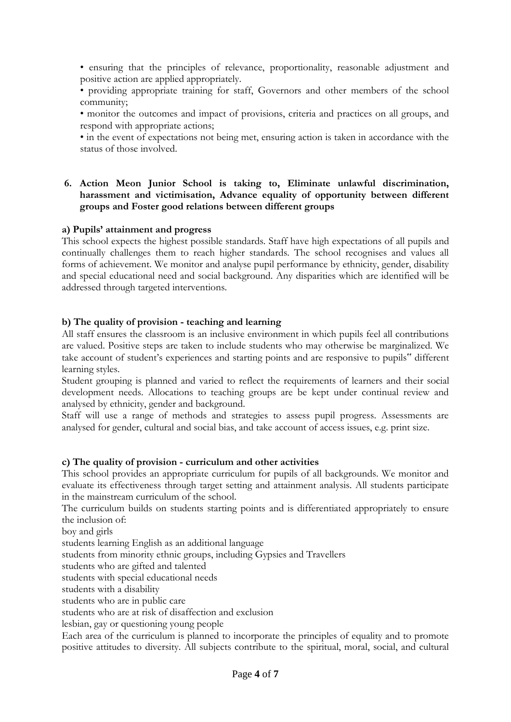• ensuring that the principles of relevance, proportionality, reasonable adjustment and positive action are applied appropriately.

• providing appropriate training for staff, Governors and other members of the school community;

• monitor the outcomes and impact of provisions, criteria and practices on all groups, and respond with appropriate actions;

• in the event of expectations not being met, ensuring action is taken in accordance with the status of those involved.

# **6. Action Meon Junior School is taking to, Eliminate unlawful discrimination, harassment and victimisation, Advance equality of opportunity between different groups and Foster good relations between different groups**

# **a) Pupils' attainment and progress**

This school expects the highest possible standards. Staff have high expectations of all pupils and continually challenges them to reach higher standards. The school recognises and values all forms of achievement. We monitor and analyse pupil performance by ethnicity, gender, disability and special educational need and social background. Any disparities which are identified will be addressed through targeted interventions.

# **b) The quality of provision - teaching and learning**

All staff ensures the classroom is an inclusive environment in which pupils feel all contributions are valued. Positive steps are taken to include students who may otherwise be marginalized. We take account of student's experiences and starting points and are responsive to pupils" different learning styles.

Student grouping is planned and varied to reflect the requirements of learners and their social development needs. Allocations to teaching groups are be kept under continual review and analysed by ethnicity, gender and background.

Staff will use a range of methods and strategies to assess pupil progress. Assessments are analysed for gender, cultural and social bias, and take account of access issues, e.g. print size.

# **c) The quality of provision - curriculum and other activities**

This school provides an appropriate curriculum for pupils of all backgrounds. We monitor and evaluate its effectiveness through target setting and attainment analysis. All students participate in the mainstream curriculum of the school.

The curriculum builds on students starting points and is differentiated appropriately to ensure the inclusion of:

boy and girls

students learning English as an additional language

students from minority ethnic groups, including Gypsies and Travellers

students who are gifted and talented

students with special educational needs

students with a disability

students who are in public care

students who are at risk of disaffection and exclusion

lesbian, gay or questioning young people

Each area of the curriculum is planned to incorporate the principles of equality and to promote positive attitudes to diversity. All subjects contribute to the spiritual, moral, social, and cultural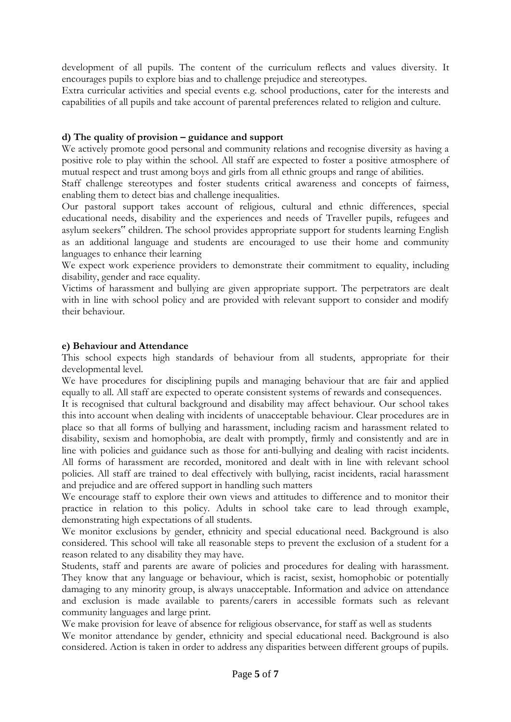development of all pupils. The content of the curriculum reflects and values diversity. It encourages pupils to explore bias and to challenge prejudice and stereotypes.

Extra curricular activities and special events e.g. school productions, cater for the interests and capabilities of all pupils and take account of parental preferences related to religion and culture.

# **d) The quality of provision – guidance and support**

We actively promote good personal and community relations and recognise diversity as having a positive role to play within the school. All staff are expected to foster a positive atmosphere of mutual respect and trust among boys and girls from all ethnic groups and range of abilities.

Staff challenge stereotypes and foster students critical awareness and concepts of fairness, enabling them to detect bias and challenge inequalities.

Our pastoral support takes account of religious, cultural and ethnic differences, special educational needs, disability and the experiences and needs of Traveller pupils, refugees and asylum seekers" children. The school provides appropriate support for students learning English as an additional language and students are encouraged to use their home and community languages to enhance their learning

We expect work experience providers to demonstrate their commitment to equality, including disability, gender and race equality.

Victims of harassment and bullying are given appropriate support. The perpetrators are dealt with in line with school policy and are provided with relevant support to consider and modify their behaviour.

# **e) Behaviour and Attendance**

This school expects high standards of behaviour from all students, appropriate for their developmental level.

We have procedures for disciplining pupils and managing behaviour that are fair and applied equally to all. All staff are expected to operate consistent systems of rewards and consequences.

It is recognised that cultural background and disability may affect behaviour. Our school takes this into account when dealing with incidents of unacceptable behaviour. Clear procedures are in place so that all forms of bullying and harassment, including racism and harassment related to disability, sexism and homophobia, are dealt with promptly, firmly and consistently and are in line with policies and guidance such as those for anti-bullying and dealing with racist incidents. All forms of harassment are recorded, monitored and dealt with in line with relevant school policies. All staff are trained to deal effectively with bullying, racist incidents, racial harassment and prejudice and are offered support in handling such matters

We encourage staff to explore their own views and attitudes to difference and to monitor their practice in relation to this policy. Adults in school take care to lead through example, demonstrating high expectations of all students.

We monitor exclusions by gender, ethnicity and special educational need. Background is also considered. This school will take all reasonable steps to prevent the exclusion of a student for a reason related to any disability they may have.

Students, staff and parents are aware of policies and procedures for dealing with harassment. They know that any language or behaviour, which is racist, sexist, homophobic or potentially damaging to any minority group, is always unacceptable. Information and advice on attendance and exclusion is made available to parents/carers in accessible formats such as relevant community languages and large print.

We make provision for leave of absence for religious observance, for staff as well as students

We monitor attendance by gender, ethnicity and special educational need. Background is also considered. Action is taken in order to address any disparities between different groups of pupils.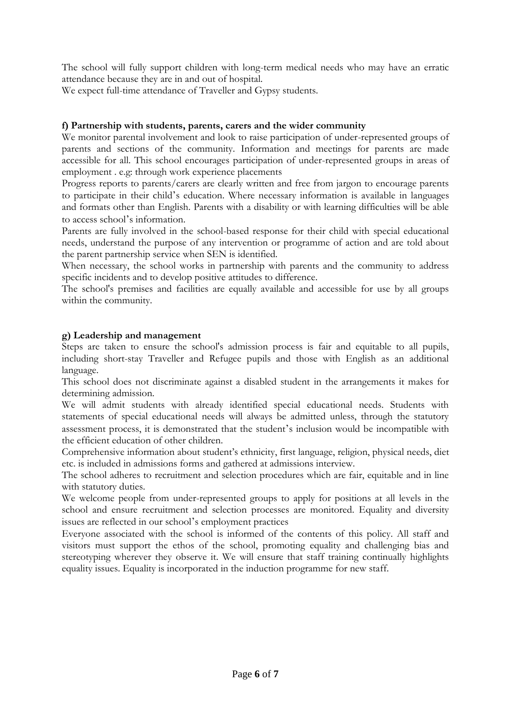The school will fully support children with long-term medical needs who may have an erratic attendance because they are in and out of hospital.

We expect full-time attendance of Traveller and Gypsy students.

# **f) Partnership with students, parents, carers and the wider community**

We monitor parental involvement and look to raise participation of under-represented groups of parents and sections of the community. Information and meetings for parents are made accessible for all. This school encourages participation of under-represented groups in areas of employment . e.g: through work experience placements

Progress reports to parents/carers are clearly written and free from jargon to encourage parents to participate in their child's education. Where necessary information is available in languages and formats other than English. Parents with a disability or with learning difficulties will be able to access school's information.

Parents are fully involved in the school-based response for their child with special educational needs, understand the purpose of any intervention or programme of action and are told about the parent partnership service when SEN is identified.

When necessary, the school works in partnership with parents and the community to address specific incidents and to develop positive attitudes to difference.

The school's premises and facilities are equally available and accessible for use by all groups within the community.

# **g) Leadership and management**

Steps are taken to ensure the school's admission process is fair and equitable to all pupils, including short-stay Traveller and Refugee pupils and those with English as an additional language.

This school does not discriminate against a disabled student in the arrangements it makes for determining admission.

We will admit students with already identified special educational needs. Students with statements of special educational needs will always be admitted unless, through the statutory assessment process, it is demonstrated that the student's inclusion would be incompatible with the efficient education of other children.

Comprehensive information about student's ethnicity, first language, religion, physical needs, diet etc. is included in admissions forms and gathered at admissions interview.

The school adheres to recruitment and selection procedures which are fair, equitable and in line with statutory duties.

We welcome people from under-represented groups to apply for positions at all levels in the school and ensure recruitment and selection processes are monitored. Equality and diversity issues are reflected in our school's employment practices

Everyone associated with the school is informed of the contents of this policy. All staff and visitors must support the ethos of the school, promoting equality and challenging bias and stereotyping wherever they observe it. We will ensure that staff training continually highlights equality issues. Equality is incorporated in the induction programme for new staff.